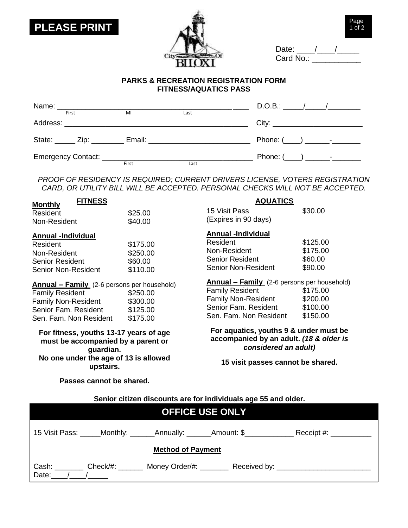



| Date:     |  |  |
|-----------|--|--|
| Card No.: |  |  |

## **PARKS & RECREATION REGISTRATION FORM FITNESS/AQUATICS PASS**

|       |  |       |      | $D.O.B.:$ / /                   |  |
|-------|--|-------|------|---------------------------------|--|
| First |  | MI    | Last |                                 |  |
|       |  |       |      | City: _________________________ |  |
|       |  |       |      |                                 |  |
|       |  |       |      |                                 |  |
|       |  | First | Last |                                 |  |

*PROOF OF RESIDENCY IS REQUIRED; CURRENT DRIVERS LICENSE, VOTERS REGISTRATION CARD, OR UTILITY BILL WILL BE ACCEPTED. PERSONAL CHECKS WILL NOT BE ACCEPTED.*

| <b>FITNESS</b><br><b>Monthly</b>                                                                                                                             |                                              | <b>AQUATICS</b>                                                                                                                                              |                                              |
|--------------------------------------------------------------------------------------------------------------------------------------------------------------|----------------------------------------------|--------------------------------------------------------------------------------------------------------------------------------------------------------------|----------------------------------------------|
| Resident                                                                                                                                                     | \$25.00                                      | 15 Visit Pass                                                                                                                                                | \$30.00                                      |
| Non-Resident                                                                                                                                                 | \$40.00                                      | (Expires in 90 days)                                                                                                                                         |                                              |
| <b>Annual -Individual</b><br>Resident<br>Non-Resident<br><b>Senior Resident</b><br><b>Senior Non-Resident</b>                                                | \$175.00<br>\$250.00<br>\$60.00<br>\$110.00  | <b>Annual -Individual</b><br>Resident<br>Non-Resident<br><b>Senior Resident</b><br>Senior Non-Resident                                                       | \$125.00<br>\$175.00<br>\$60.00<br>\$90.00   |
| <b>Annual - Family</b> (2-6 persons per household)<br><b>Family Resident</b><br><b>Family Non-Resident</b><br>Senior Fam. Resident<br>Sen. Fam. Non Resident | \$250.00<br>\$300.00<br>\$125.00<br>\$175.00 | <b>Annual – Family</b> (2-6 persons per household)<br><b>Family Resident</b><br><b>Family Non-Resident</b><br>Senior Fam. Resident<br>Sen. Fam. Non Resident | \$175.00<br>\$200.00<br>\$100.00<br>\$150.00 |
| For fitness, youths 13-17 years of age<br>must be accompanied by a parent or<br>guardian.                                                                    |                                              | For aquatics, youths 9 & under must be<br>accompanied by an adult. (18 & older is<br>considered an adult)                                                    |                                              |
| No one under the age of 13 is allowed<br>upstairs.                                                                                                           |                                              | 15 visit passes cannot be shared.                                                                                                                            |                                              |

**Passes cannot be shared.**

**Senior citizen discounts are for individuals age 55 and older.**

| <b>OFFICE USE ONLY</b>                                          |                                                  |  |  |  |
|-----------------------------------------------------------------|--------------------------------------------------|--|--|--|
| 15 Visit Pass: _____Monthly: _______Annually: _______Amount: \$ | $\textsf{Receipt}\; \#:\underline{\hspace{2cm}}$ |  |  |  |
| <b>Method of Payment</b>                                        |                                                  |  |  |  |
| Check/#: _______ Money Order/#: _______<br>Cash:<br>Date:       |                                                  |  |  |  |

Page 1 of 2